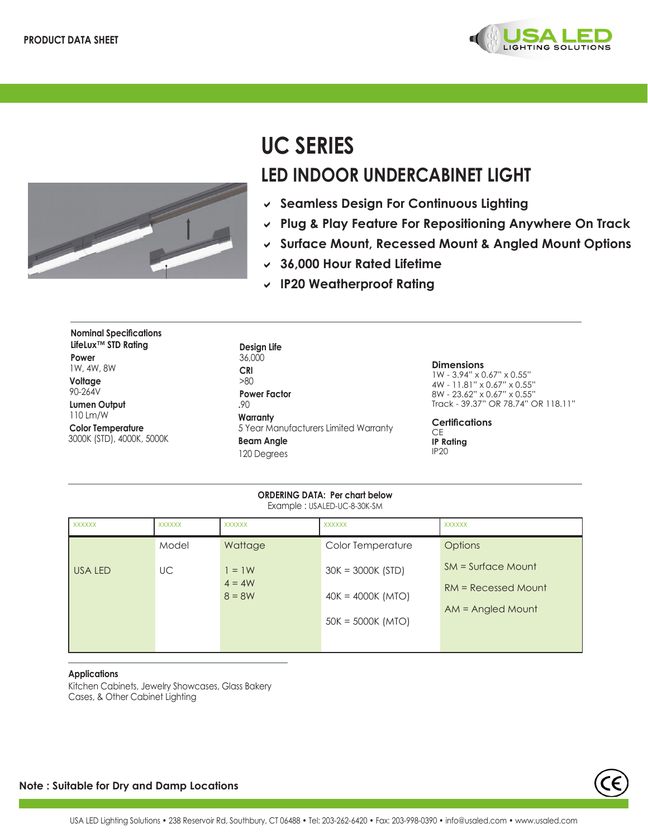



# **UC SERIES LED INDOOR UNDERCABINET LIGHT**

- D **Seamless Design For Continuous Lighting**
- **► Plug & Play Feature For Repositioning Anywhere On Track**
- D **Surface Mount, Recessed Mount & Angled Mount Options**
- D **36,000 Hour Rated Lifetime**
- D **IP20 Weatherproof Rating**

| <b>Nominal Specifications</b><br>LifeLux™ STD Rating  |
|-------------------------------------------------------|
| Power<br>1W, 4W, 8W                                   |
| Voltage<br>90-264V                                    |
| <b>Lumen Output</b><br>110 Lm/W                       |
| <b>Color Temperature</b><br>3000K (STD), 4000K, 5000K |

**Design Life** 36,000 **CRI** >80 **Power Factor .**90 **Warranty** 5 Year Manufacturers Limited Warranty **Beam Angle** 120 Degrees

**Dimensions** 1W - 3.94" x 0.67" x 0.55" 4W - 11.81" x 0.67" x 0.55" 8W - 23.62" x 0.67" x 0.55" Track - 39.37" OR 78.74" OR 118.11"

**Certifications** CE **IP Rating** IP20

| EXAMINO : 007 LELD OU O JOIN JIM |               |                      |                     |                       |  |  |
|----------------------------------|---------------|----------------------|---------------------|-----------------------|--|--|
| <b>XXXXXX</b>                    | <b>XXXXXX</b> | <b>XXXXXX</b>        | <b>XXXXXX</b>       | <b>XXXXXX</b>         |  |  |
|                                  | Model         | Wattage              | Color Temperature   | <b>Options</b>        |  |  |
| <b>USA LED</b>                   | UC            | $1 = 1W$             | $30K = 3000K (STD)$ | $SM = Surface Mount$  |  |  |
|                                  |               | $4 = 4W$<br>$8 = 8W$ | $40K = 4000K (MTO)$ | $RM = Recessed Mount$ |  |  |
|                                  |               |                      |                     | $AM =$ Angled Mount   |  |  |
|                                  |               |                      | $50K = 5000K$ (MTO) |                       |  |  |
|                                  |               |                      |                     |                       |  |  |
|                                  |               |                      |                     |                       |  |  |

**ORDERING DATA: Per chart below** Example : USALED-UC-8-30K-SM

#### **Applications**

Kitchen Cabinets, Jewelry Showcases, Glass Bakery Cases, & Other Cabinet Lighting

## **Note : Suitable for Dry and Damp Locations**